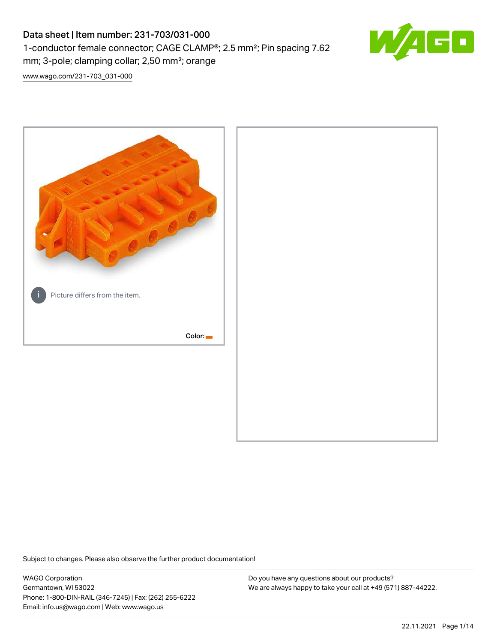# Data sheet | Item number: 231-703/031-000 1-conductor female connector; CAGE CLAMP®; 2.5 mm²; Pin spacing 7.62 mm; 3-pole; clamping collar; 2,50 mm²; orange



[www.wago.com/231-703\\_031-000](http://www.wago.com/231-703_031-000)



Subject to changes. Please also observe the further product documentation!

WAGO Corporation Germantown, WI 53022 Phone: 1-800-DIN-RAIL (346-7245) | Fax: (262) 255-6222 Email: info.us@wago.com | Web: www.wago.us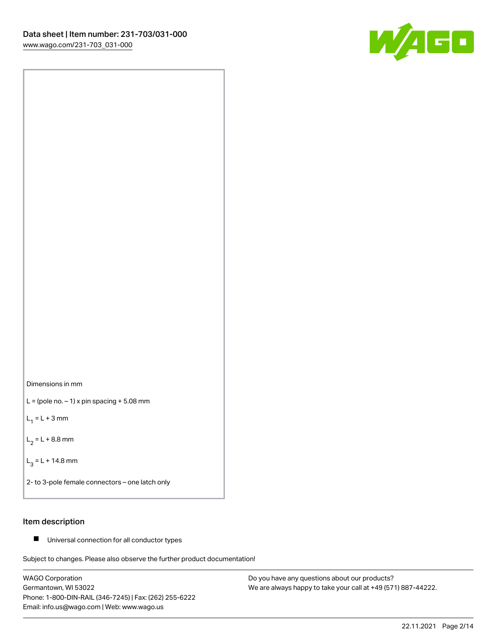



 $L =$  (pole no.  $-1$ ) x pin spacing  $+5.08$  mm

 $L_1 = L + 3$  mm

 $L_2 = L + 8.8$  mm

 $L_3 = L + 14.8$  mm

2- to 3-pole female connectors – one latch only

# Item description

■ Universal connection for all conductor types

Subject to changes. Please also observe the further product documentation!

WAGO Corporation Germantown, WI 53022 Phone: 1-800-DIN-RAIL (346-7245) | Fax: (262) 255-6222 Email: info.us@wago.com | Web: www.wago.us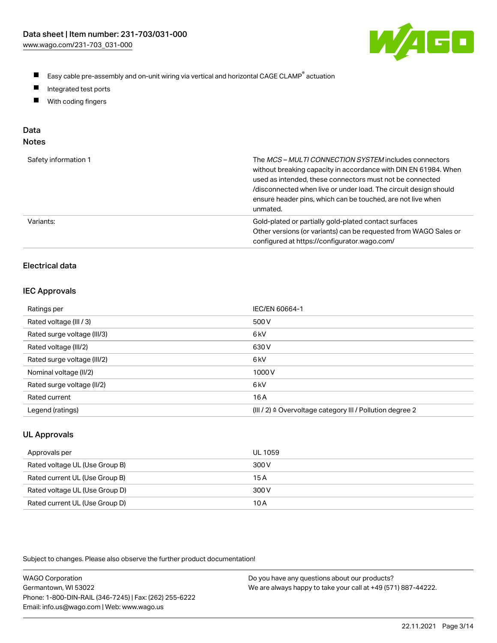

- $\blacksquare$ Easy cable pre-assembly and on-unit wiring via vertical and horizontal CAGE CLAMP<sup>®</sup> actuation
- $\blacksquare$ Integrated test ports
- $\blacksquare$ With coding fingers

# Data

| Safety information 1 | The MCS-MULTI CONNECTION SYSTEM includes connectors<br>without breaking capacity in accordance with DIN EN 61984. When<br>used as intended, these connectors must not be connected<br>/disconnected when live or under load. The circuit design should<br>ensure header pins, which can be touched, are not live when<br>unmated. |
|----------------------|-----------------------------------------------------------------------------------------------------------------------------------------------------------------------------------------------------------------------------------------------------------------------------------------------------------------------------------|
| Variants:            | Gold-plated or partially gold-plated contact surfaces<br>Other versions (or variants) can be requested from WAGO Sales or<br>configured at https://configurator.wago.com/                                                                                                                                                         |

# Electrical data

#### IEC Approvals

| Ratings per                 | IEC/EN 60664-1                                                        |
|-----------------------------|-----------------------------------------------------------------------|
| Rated voltage (III / 3)     | 500 V                                                                 |
| Rated surge voltage (III/3) | 6 <sub>k</sub> V                                                      |
| Rated voltage (III/2)       | 630 V                                                                 |
| Rated surge voltage (III/2) | 6 <sub>k</sub> V                                                      |
| Nominal voltage (II/2)      | 1000V                                                                 |
| Rated surge voltage (II/2)  | 6 <sub>k</sub> V                                                      |
| Rated current               | 16 A                                                                  |
| Legend (ratings)            | $(III / 2)$ $\triangle$ Overvoltage category III / Pollution degree 2 |

# UL Approvals

| Approvals per                  | UL 1059 |
|--------------------------------|---------|
| Rated voltage UL (Use Group B) | 300 V   |
| Rated current UL (Use Group B) | 15 A    |
| Rated voltage UL (Use Group D) | 300 V   |
| Rated current UL (Use Group D) | 10 A    |

| <b>WAGO Corporation</b>                                | Do you have any questions about our products?                 |
|--------------------------------------------------------|---------------------------------------------------------------|
| Germantown, WI 53022                                   | We are always happy to take your call at +49 (571) 887-44222. |
| Phone: 1-800-DIN-RAIL (346-7245)   Fax: (262) 255-6222 |                                                               |
| Email: info.us@wago.com   Web: www.wago.us             |                                                               |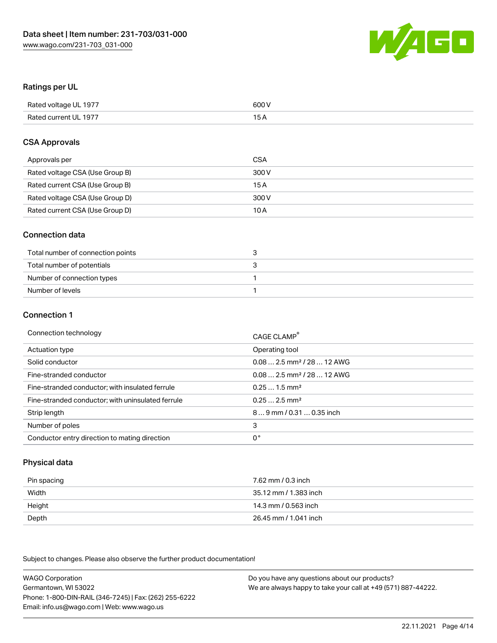

## Ratings per UL

| Rated voltage UL 1977 | 600 V |
|-----------------------|-------|
| Rated current UL 1977 | 1 E   |

#### CSA Approvals

| Approvals per                   | CSA   |
|---------------------------------|-------|
| Rated voltage CSA (Use Group B) | 300 V |
| Rated current CSA (Use Group B) | 15 A  |
| Rated voltage CSA (Use Group D) | 300 V |
| Rated current CSA (Use Group D) | 10 A  |

#### Connection data

| Total number of connection points |  |
|-----------------------------------|--|
| Total number of potentials        |  |
| Number of connection types        |  |
| Number of levels                  |  |

#### Connection 1

| Connection technology                             | CAGE CLAMP <sup>®</sup>                 |
|---------------------------------------------------|-----------------------------------------|
| Actuation type                                    | Operating tool                          |
| Solid conductor                                   | $0.08$ 2.5 mm <sup>2</sup> / 28  12 AWG |
| Fine-stranded conductor                           | $0.082.5$ mm <sup>2</sup> / 28  12 AWG  |
| Fine-stranded conductor; with insulated ferrule   | $0.251.5$ mm <sup>2</sup>               |
| Fine-stranded conductor; with uninsulated ferrule | $0.252.5$ mm <sup>2</sup>               |
| Strip length                                      | 89 mm / 0.31  0.35 inch                 |
| Number of poles                                   | 3                                       |
| Conductor entry direction to mating direction     | 0°                                      |

# Physical data

| Pin spacing | 7.62 mm / 0.3 inch    |
|-------------|-----------------------|
| Width       | 35.12 mm / 1.383 inch |
| Height      | 14.3 mm / 0.563 inch  |
| Depth       | 26.45 mm / 1.041 inch |

Subject to changes. Please also observe the further product documentation!

WAGO Corporation Germantown, WI 53022 Phone: 1-800-DIN-RAIL (346-7245) | Fax: (262) 255-6222 Email: info.us@wago.com | Web: www.wago.us Do you have any questions about our products? We are always happy to take your call at +49 (571) 887-44222.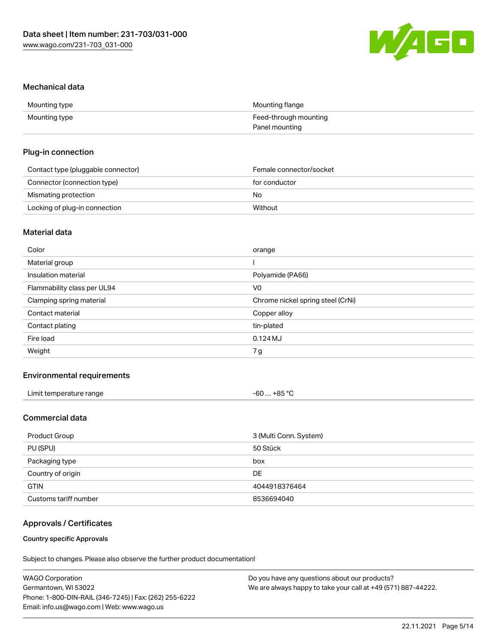

#### Mechanical data

| Mounting type | Mounting flange       |
|---------------|-----------------------|
| Mounting type | Feed-through mounting |
|               | Panel mounting        |

#### Plug-in connection

| Contact type (pluggable connector) | Female connector/socket |
|------------------------------------|-------------------------|
| Connector (connection type)        | for conductor           |
| Mismating protection               | No                      |
| Locking of plug-in connection      | Without                 |

# Material data

| Color                       | orange                            |
|-----------------------------|-----------------------------------|
| Material group              |                                   |
| Insulation material         | Polyamide (PA66)                  |
| Flammability class per UL94 | V <sub>0</sub>                    |
| Clamping spring material    | Chrome nickel spring steel (CrNi) |
| Contact material            | Copper alloy                      |
| Contact plating             | tin-plated                        |
| Fire load                   | 0.124MJ                           |
| Weight                      | 7g                                |
|                             |                                   |

## Environmental requirements

| Limit temperature range | −60 … +85 °Ր |
|-------------------------|--------------|
|                         |              |

# Commercial data

| Product Group         | 3 (Multi Conn. System) |
|-----------------------|------------------------|
| PU (SPU)              | 50 Stück               |
| Packaging type        | box                    |
| Country of origin     | <b>DE</b>              |
| <b>GTIN</b>           | 4044918376464          |
| Customs tariff number | 8536694040             |

## Approvals / Certificates

#### Country specific Approvals

| <b>WAGO Corporation</b>                                | Do you have any questions about our products?                 |
|--------------------------------------------------------|---------------------------------------------------------------|
| Germantown, WI 53022                                   | We are always happy to take your call at +49 (571) 887-44222. |
| Phone: 1-800-DIN-RAIL (346-7245)   Fax: (262) 255-6222 |                                                               |
| Email: info.us@wago.com   Web: www.wago.us             |                                                               |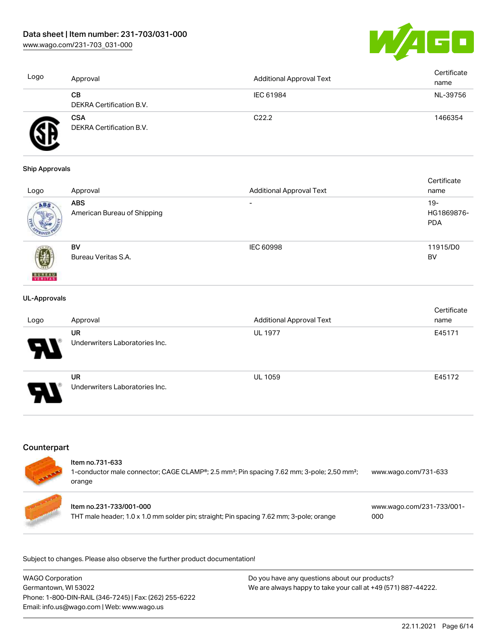[www.wago.com/231-703\\_031-000](http://www.wago.com/231-703_031-000)



| Logo | Approval                               | <b>Additional Approval Text</b> | Certificate<br>name |
|------|----------------------------------------|---------------------------------|---------------------|
|      | CВ<br>DEKRA Certification B.V.         | IEC 61984                       | NL-39756            |
|      | <b>CSA</b><br>DEKRA Certification B.V. | C <sub>22.2</sub>               | 1466354             |

#### Ship Approvals

|                          |                             |                                 | Certificate |
|--------------------------|-----------------------------|---------------------------------|-------------|
| Logo                     | Approval                    | <b>Additional Approval Text</b> | name        |
| ABS.                     | <b>ABS</b>                  | $\overline{\phantom{0}}$        | $19-$       |
|                          | American Bureau of Shipping |                                 | HG1869876-  |
|                          |                             |                                 | <b>PDA</b>  |
|                          |                             |                                 |             |
|                          | BV                          | <b>IEC 60998</b>                | 11915/D0    |
|                          | Bureau Veritas S.A.         |                                 | BV          |
|                          |                             |                                 |             |
| <b>BUREAU</b><br>VERITAS |                             |                                 |             |

#### UL-Approvals

| Logo                  | Approval                                    | <b>Additional Approval Text</b> | Certificate<br>name |
|-----------------------|---------------------------------------------|---------------------------------|---------------------|
| 8                     | <b>UR</b><br>Underwriters Laboratories Inc. | <b>UL 1977</b>                  | E45171              |
| $\boldsymbol{\theta}$ | <b>UR</b><br>Underwriters Laboratories Inc. | <b>UL 1059</b>                  | E45172              |

# **Counterpart**

| Item no.731-633<br>1-conductor male connector; CAGE CLAMP <sup>®</sup> ; 2.5 mm <sup>2</sup> ; Pin spacing 7.62 mm; 3-pole; 2,50 mm <sup>2</sup> ;<br>orange | www.wago.com/731-633             |
|--------------------------------------------------------------------------------------------------------------------------------------------------------------|----------------------------------|
| Item no.231-733/001-000<br>THT male header; 1.0 x 1.0 mm solder pin; straight; Pin spacing 7.62 mm; 3-pole; orange                                           | www.wago.com/231-733/001-<br>000 |

| <b>WAGO Corporation</b>                                | Do you have any questions about our products?                 |
|--------------------------------------------------------|---------------------------------------------------------------|
| Germantown, WI 53022                                   | We are always happy to take your call at +49 (571) 887-44222. |
| Phone: 1-800-DIN-RAIL (346-7245)   Fax: (262) 255-6222 |                                                               |
| Email: info.us@wago.com   Web: www.wago.us             |                                                               |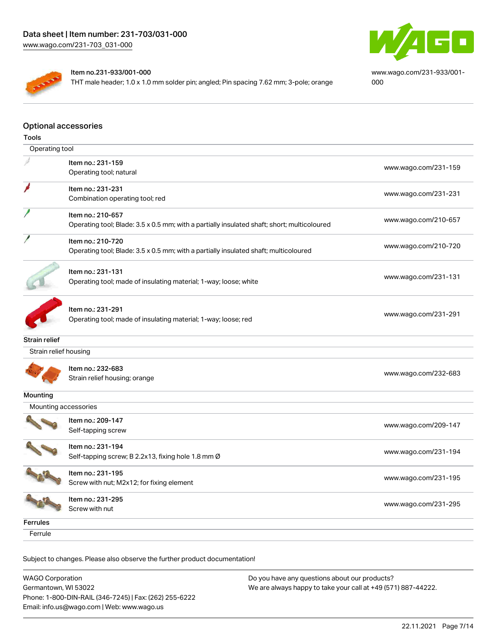

[www.wago.com/231-933/001-](https://www.wago.com/231-933/001-000) [000](https://www.wago.com/231-933/001-000)

#### Item no.231-933/001-000

THT male header; 1.0 x 1.0 mm solder pin; angled; Pin spacing 7.62 mm; 3-pole; orange

# Optional accessories

| <b>Tools</b>          |                                                                                             |                      |
|-----------------------|---------------------------------------------------------------------------------------------|----------------------|
| Operating tool        |                                                                                             |                      |
|                       | Item no.: 231-159                                                                           |                      |
|                       | Operating tool; natural                                                                     | www.wago.com/231-159 |
|                       | Item no.: 231-231                                                                           |                      |
|                       | Combination operating tool; red                                                             | www.wago.com/231-231 |
|                       | Item no.: 210-657                                                                           |                      |
|                       | Operating tool; Blade: 3.5 x 0.5 mm; with a partially insulated shaft; short; multicoloured | www.wago.com/210-657 |
|                       | Item no.: 210-720                                                                           |                      |
|                       | Operating tool; Blade: 3.5 x 0.5 mm; with a partially insulated shaft; multicoloured        | www.wago.com/210-720 |
|                       | Item no.: 231-131                                                                           |                      |
|                       | Operating tool; made of insulating material; 1-way; loose; white                            | www.wago.com/231-131 |
|                       |                                                                                             |                      |
|                       | Item no.: 231-291                                                                           |                      |
|                       | Operating tool; made of insulating material; 1-way; loose; red                              | www.wago.com/231-291 |
|                       |                                                                                             |                      |
| Strain relief         |                                                                                             |                      |
| Strain relief housing |                                                                                             |                      |
|                       | Item no.: 232-683                                                                           |                      |
|                       | Strain relief housing; orange                                                               | www.wago.com/232-683 |
| Mounting              |                                                                                             |                      |
| Mounting accessories  |                                                                                             |                      |
|                       | Item no.: 209-147                                                                           |                      |
|                       | Self-tapping screw                                                                          | www.wago.com/209-147 |
|                       | Item no.: 231-194                                                                           |                      |
|                       | Self-tapping screw; B 2.2x13, fixing hole 1.8 mm Ø                                          | www.wago.com/231-194 |
|                       | Item no.: 231-195                                                                           |                      |
|                       | Screw with nut; M2x12; for fixing element                                                   | www.wago.com/231-195 |
|                       | Item no.: 231-295                                                                           |                      |
|                       | Screw with nut                                                                              | www.wago.com/231-295 |
| <b>Ferrules</b>       |                                                                                             |                      |
| Ferrule               |                                                                                             |                      |
|                       |                                                                                             |                      |

| WAGO Corporation                                       | Do you have any questions about our products?                 |
|--------------------------------------------------------|---------------------------------------------------------------|
| Germantown, WI 53022                                   | We are always happy to take your call at +49 (571) 887-44222. |
| Phone: 1-800-DIN-RAIL (346-7245)   Fax: (262) 255-6222 |                                                               |
| Email: info.us@wago.com   Web: www.wago.us             |                                                               |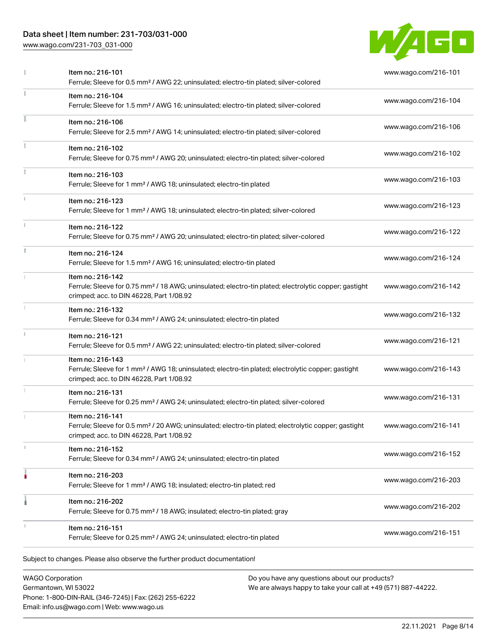# Data sheet | Item number: 231-703/031-000

[www.wago.com/231-703\\_031-000](http://www.wago.com/231-703_031-000)



|    | Item no.: 216-101<br>Ferrule; Sleeve for 0.5 mm <sup>2</sup> / AWG 22; uninsulated; electro-tin plated; silver-colored                                                             | www.wago.com/216-101 |
|----|------------------------------------------------------------------------------------------------------------------------------------------------------------------------------------|----------------------|
|    | Item no.: 216-104<br>Ferrule; Sleeve for 1.5 mm <sup>2</sup> / AWG 16; uninsulated; electro-tin plated; silver-colored                                                             | www.wago.com/216-104 |
|    | Item no.: 216-106<br>Ferrule; Sleeve for 2.5 mm <sup>2</sup> / AWG 14; uninsulated; electro-tin plated; silver-colored                                                             | www.wago.com/216-106 |
|    | Item no.: 216-102<br>Ferrule; Sleeve for 0.75 mm <sup>2</sup> / AWG 20; uninsulated; electro-tin plated; silver-colored                                                            | www.wago.com/216-102 |
|    | Item no.: 216-103<br>Ferrule; Sleeve for 1 mm <sup>2</sup> / AWG 18; uninsulated; electro-tin plated                                                                               | www.wago.com/216-103 |
|    | Item no.: 216-123<br>Ferrule; Sleeve for 1 mm <sup>2</sup> / AWG 18; uninsulated; electro-tin plated; silver-colored                                                               | www.wago.com/216-123 |
|    | Item no.: 216-122<br>Ferrule; Sleeve for 0.75 mm <sup>2</sup> / AWG 20; uninsulated; electro-tin plated; silver-colored                                                            | www.wago.com/216-122 |
| I. | Item no.: 216-124<br>Ferrule; Sleeve for 1.5 mm <sup>2</sup> / AWG 16; uninsulated; electro-tin plated                                                                             | www.wago.com/216-124 |
|    | Item no.: 216-142<br>Ferrule; Sleeve for 0.75 mm <sup>2</sup> / 18 AWG; uninsulated; electro-tin plated; electrolytic copper; gastight<br>crimped; acc. to DIN 46228, Part 1/08.92 | www.wago.com/216-142 |
|    | Item no.: 216-132<br>Ferrule; Sleeve for 0.34 mm <sup>2</sup> / AWG 24; uninsulated; electro-tin plated                                                                            | www.wago.com/216-132 |
|    | Item no.: 216-121<br>Ferrule; Sleeve for 0.5 mm <sup>2</sup> / AWG 22; uninsulated; electro-tin plated; silver-colored                                                             | www.wago.com/216-121 |
|    | Item no.: 216-143<br>Ferrule; Sleeve for 1 mm <sup>2</sup> / AWG 18; uninsulated; electro-tin plated; electrolytic copper; gastight<br>crimped; acc. to DIN 46228, Part 1/08.92    | www.wago.com/216-143 |
|    | Item no.: 216-131<br>Ferrule; Sleeve for 0.25 mm <sup>2</sup> / AWG 24; uninsulated; electro-tin plated; silver-colored                                                            | www.wago.com/216-131 |
|    | Item no.: 216-141<br>Ferrule; Sleeve for 0.5 mm <sup>2</sup> / 20 AWG; uninsulated; electro-tin plated; electrolytic copper; gastight<br>crimped; acc. to DIN 46228, Part 1/08.92  | www.wago.com/216-141 |
| A. | Item no.: 216-152<br>Ferrule; Sleeve for 0.34 mm <sup>2</sup> / AWG 24; uninsulated; electro-tin plated                                                                            | www.wago.com/216-152 |
|    | Item no.: 216-203<br>Ferrule; Sleeve for 1 mm <sup>2</sup> / AWG 18; insulated; electro-tin plated; red                                                                            | www.wago.com/216-203 |
|    | Item no.: 216-202<br>Ferrule; Sleeve for 0.75 mm <sup>2</sup> / 18 AWG; insulated; electro-tin plated; gray                                                                        | www.wago.com/216-202 |
|    | Item no.: 216-151<br>Ferrule; Sleeve for 0.25 mm <sup>2</sup> / AWG 24; uninsulated; electro-tin plated                                                                            | www.wago.com/216-151 |

WAGO Corporation Germantown, WI 53022 Phone: 1-800-DIN-RAIL (346-7245) | Fax: (262) 255-6222 Email: info.us@wago.com | Web: www.wago.us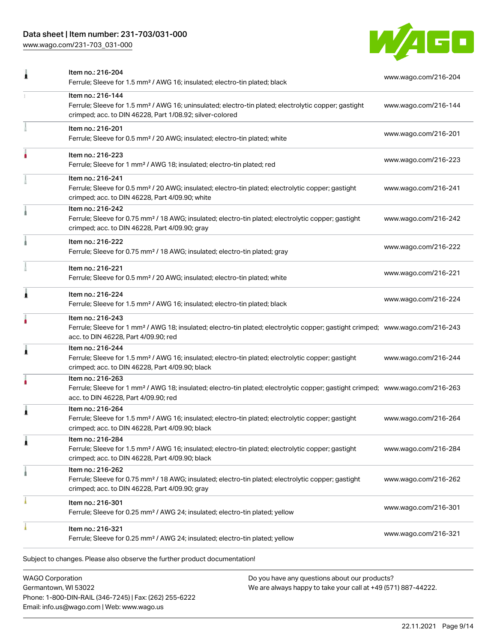# Data sheet | Item number: 231-703/031-000

[www.wago.com/231-703\\_031-000](http://www.wago.com/231-703_031-000)



| Item no.: 216-204<br>Ferrule; Sleeve for 1.5 mm <sup>2</sup> / AWG 16; insulated; electro-tin plated; black                                                                                             | www.wago.com/216-204 |
|---------------------------------------------------------------------------------------------------------------------------------------------------------------------------------------------------------|----------------------|
| Item no.: 216-144<br>Ferrule; Sleeve for 1.5 mm <sup>2</sup> / AWG 16; uninsulated; electro-tin plated; electrolytic copper; gastight<br>crimped; acc. to DIN 46228, Part 1/08.92; silver-colored       | www.wago.com/216-144 |
| Item no.: 216-201<br>Ferrule; Sleeve for 0.5 mm <sup>2</sup> / 20 AWG; insulated; electro-tin plated; white                                                                                             | www.wago.com/216-201 |
| Item no.: 216-223<br>Ferrule; Sleeve for 1 mm <sup>2</sup> / AWG 18; insulated; electro-tin plated; red                                                                                                 | www.wago.com/216-223 |
| Item no.: 216-241<br>Ferrule; Sleeve for 0.5 mm <sup>2</sup> / 20 AWG; insulated; electro-tin plated; electrolytic copper; gastight<br>crimped; acc. to DIN 46228, Part 4/09.90; white                  | www.wago.com/216-241 |
| Item no.: 216-242<br>Ferrule; Sleeve for 0.75 mm <sup>2</sup> / 18 AWG; insulated; electro-tin plated; electrolytic copper; gastight<br>crimped; acc. to DIN 46228, Part 4/09.90; gray                  | www.wago.com/216-242 |
| Item no.: 216-222<br>Ferrule; Sleeve for 0.75 mm <sup>2</sup> / 18 AWG; insulated; electro-tin plated; gray                                                                                             | www.wago.com/216-222 |
| Item no.: 216-221<br>Ferrule; Sleeve for 0.5 mm <sup>2</sup> / 20 AWG; insulated; electro-tin plated; white                                                                                             | www.wago.com/216-221 |
| Item no.: 216-224<br>Ferrule; Sleeve for 1.5 mm <sup>2</sup> / AWG 16; insulated; electro-tin plated; black                                                                                             | www.wago.com/216-224 |
| Item no.: 216-243<br>Ferrule; Sleeve for 1 mm <sup>2</sup> / AWG 18; insulated; electro-tin plated; electrolytic copper; gastight crimped; www.wago.com/216-243<br>acc. to DIN 46228, Part 4/09.90; red |                      |
| Item no.: 216-244<br>Ferrule; Sleeve for 1.5 mm <sup>2</sup> / AWG 16; insulated; electro-tin plated; electrolytic copper; gastight<br>crimped; acc. to DIN 46228, Part 4/09.90; black                  | www.wago.com/216-244 |
| Item no.: 216-263<br>Ferrule; Sleeve for 1 mm <sup>2</sup> / AWG 18; insulated; electro-tin plated; electrolytic copper; gastight crimped; www.wago.com/216-263<br>acc. to DIN 46228, Part 4/09.90; red |                      |
| Item no.: 216-264<br>Ferrule; Sleeve for 1.5 mm <sup>2</sup> / AWG 16; insulated; electro-tin plated; electrolytic copper; gastight<br>crimped; acc. to DIN 46228, Part 4/09.90; black                  | www.wago.com/216-264 |
| Item no.: 216-284<br>Ferrule; Sleeve for 1.5 mm <sup>2</sup> / AWG 16; insulated; electro-tin plated; electrolytic copper; gastight<br>crimped; acc. to DIN 46228, Part 4/09.90; black                  | www.wago.com/216-284 |
| Item no.: 216-262<br>Ferrule; Sleeve for 0.75 mm <sup>2</sup> / 18 AWG; insulated; electro-tin plated; electrolytic copper; gastight<br>crimped; acc. to DIN 46228, Part 4/09.90; gray                  | www.wago.com/216-262 |
| Item no.: 216-301<br>Ferrule; Sleeve for 0.25 mm <sup>2</sup> / AWG 24; insulated; electro-tin plated; yellow                                                                                           | www.wago.com/216-301 |
| Item no.: 216-321<br>Ferrule; Sleeve for 0.25 mm <sup>2</sup> / AWG 24; insulated; electro-tin plated; yellow                                                                                           | www.wago.com/216-321 |
|                                                                                                                                                                                                         |                      |

WAGO Corporation Germantown, WI 53022 Phone: 1-800-DIN-RAIL (346-7245) | Fax: (262) 255-6222 Email: info.us@wago.com | Web: www.wago.us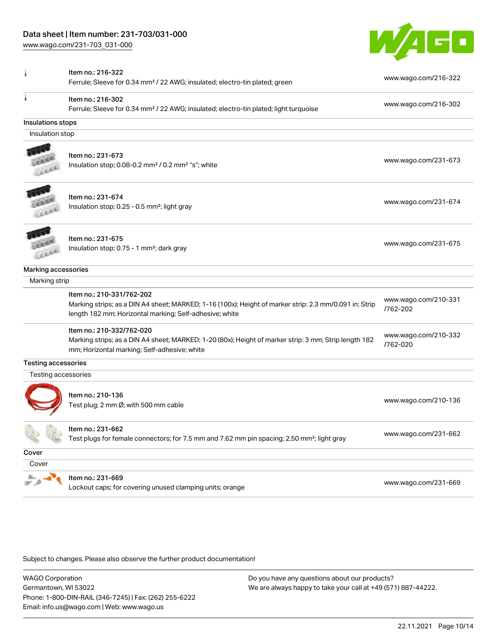[www.wago.com/231-703\\_031-000](http://www.wago.com/231-703_031-000)



|                            | Item no.: 216-322<br>Ferrule; Sleeve for 0.34 mm <sup>2</sup> / 22 AWG; insulated; electro-tin plated; green                                                                                   | www.wago.com/216-322             |
|----------------------------|------------------------------------------------------------------------------------------------------------------------------------------------------------------------------------------------|----------------------------------|
|                            | Item no.: 216-302<br>Ferrule; Sleeve for 0.34 mm <sup>2</sup> / 22 AWG; insulated; electro-tin plated; light turquoise                                                                         | www.wago.com/216-302             |
| Insulations stops          |                                                                                                                                                                                                |                                  |
| Insulation stop            |                                                                                                                                                                                                |                                  |
|                            | Item no.: 231-673<br>Insulation stop; 0.08-0.2 mm <sup>2</sup> / 0.2 mm <sup>2</sup> "s"; white                                                                                                | www.wago.com/231-673             |
|                            | Item no.: 231-674<br>Insulation stop; 0.25 - 0.5 mm <sup>2</sup> ; light gray                                                                                                                  | www.wago.com/231-674             |
| CELL                       | Item no.: 231-675<br>Insulation stop; 0.75 - 1 mm <sup>2</sup> ; dark gray                                                                                                                     | www.wago.com/231-675             |
| Marking accessories        |                                                                                                                                                                                                |                                  |
| Marking strip              |                                                                                                                                                                                                |                                  |
|                            | Item no.: 210-331/762-202<br>Marking strips; as a DIN A4 sheet; MARKED; 1-16 (100x); Height of marker strip: 2.3 mm/0.091 in; Strip<br>length 182 mm; Horizontal marking; Self-adhesive; white | www.wago.com/210-331<br>/762-202 |
|                            | Item no.: 210-332/762-020<br>Marking strips; as a DIN A4 sheet; MARKED; 1-20 (80x); Height of marker strip: 3 mm; Strip length 182<br>mm; Horizontal marking; Self-adhesive; white             | www.wago.com/210-332<br>/762-020 |
| <b>Testing accessories</b> |                                                                                                                                                                                                |                                  |
| Testing accessories        |                                                                                                                                                                                                |                                  |
|                            | Item no.: 210-136<br>Test plug; 2 mm Ø; with 500 mm cable                                                                                                                                      | www.wago.com/210-136             |
|                            | Item no.: 231-662<br>Test plugs for female connectors; for 7.5 mm and 7.62 mm pin spacing; 2,50 mm <sup>2</sup> ; light gray                                                                   | www.wago.com/231-662             |
| Cover                      |                                                                                                                                                                                                |                                  |
| Cover                      |                                                                                                                                                                                                |                                  |
|                            | Item no.: 231-669<br>Lockout caps; for covering unused clamping units; orange                                                                                                                  | www.wago.com/231-669             |

Subject to changes. Please also observe the further product documentation!

WAGO Corporation Germantown, WI 53022 Phone: 1-800-DIN-RAIL (346-7245) | Fax: (262) 255-6222 Email: info.us@wago.com | Web: www.wago.us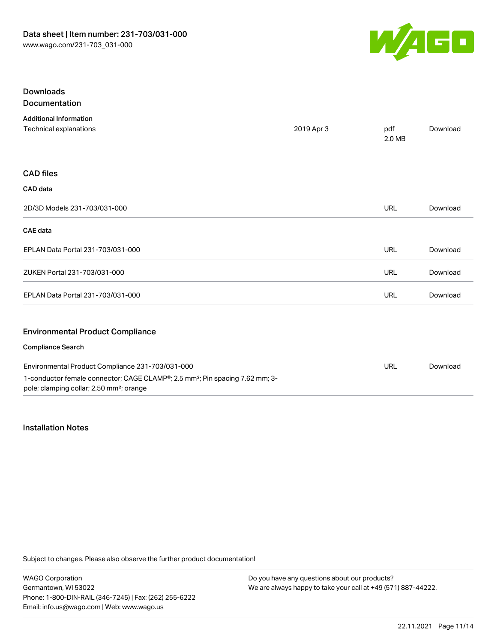

# Downloads Documentation

| <b>Additional Information</b>                                                                                                                    |            |               |          |
|--------------------------------------------------------------------------------------------------------------------------------------------------|------------|---------------|----------|
| Technical explanations                                                                                                                           | 2019 Apr 3 | pdf<br>2.0 MB | Download |
|                                                                                                                                                  |            |               |          |
| <b>CAD files</b>                                                                                                                                 |            |               |          |
| CAD data                                                                                                                                         |            |               |          |
| 2D/3D Models 231-703/031-000                                                                                                                     |            | <b>URL</b>    | Download |
| <b>CAE</b> data                                                                                                                                  |            |               |          |
| EPLAN Data Portal 231-703/031-000                                                                                                                |            | <b>URL</b>    | Download |
| ZUKEN Portal 231-703/031-000                                                                                                                     |            | URL           | Download |
| EPLAN Data Portal 231-703/031-000                                                                                                                |            | URL           | Download |
| <b>Environmental Product Compliance</b>                                                                                                          |            |               |          |
| <b>Compliance Search</b>                                                                                                                         |            |               |          |
| Environmental Product Compliance 231-703/031-000                                                                                                 |            | URL           | Download |
| 1-conductor female connector; CAGE CLAMP®; 2.5 mm <sup>2</sup> ; Pin spacing 7.62 mm; 3-<br>pole; clamping collar; 2,50 mm <sup>2</sup> ; orange |            |               |          |

# Installation Notes

Subject to changes. Please also observe the further product documentation!

WAGO Corporation Germantown, WI 53022 Phone: 1-800-DIN-RAIL (346-7245) | Fax: (262) 255-6222 Email: info.us@wago.com | Web: www.wago.us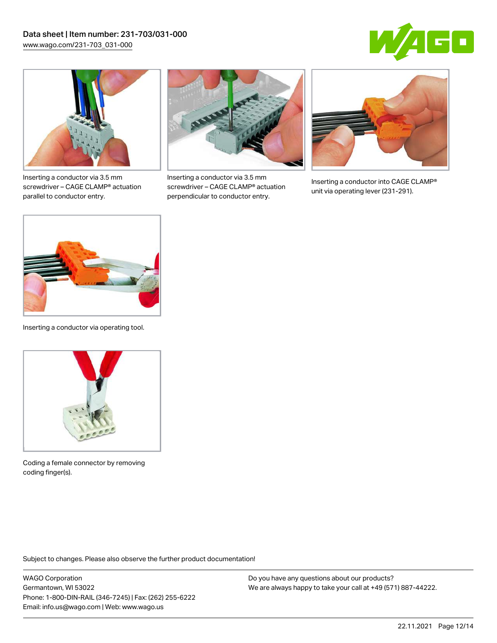



Inserting a conductor via 3.5 mm screwdriver – CAGE CLAMP® actuation parallel to conductor entry.



Inserting a conductor via 3.5 mm screwdriver – CAGE CLAMP® actuation perpendicular to conductor entry.



Inserting a conductor into CAGE CLAMP® unit via operating lever (231-291).



Inserting a conductor via operating tool.



Coding a female connector by removing coding finger(s).

Subject to changes. Please also observe the further product documentation!

WAGO Corporation Germantown, WI 53022 Phone: 1-800-DIN-RAIL (346-7245) | Fax: (262) 255-6222 Email: info.us@wago.com | Web: www.wago.us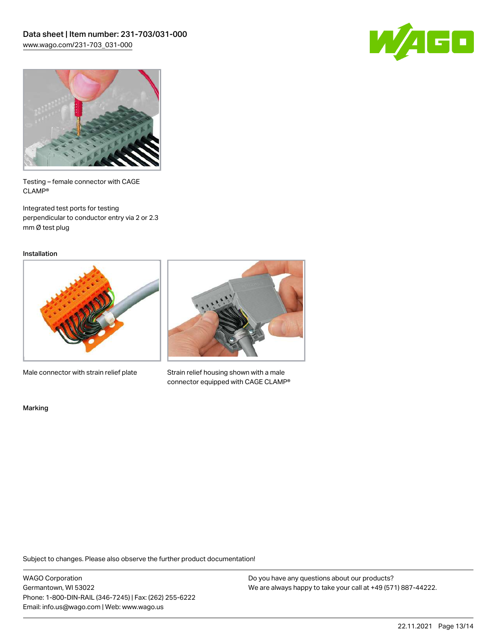



Testing – female connector with CAGE CLAMP®

Integrated test ports for testing perpendicular to conductor entry via 2 or 2.3 mm Ø test plug

Installation



Male connector with strain relief plate



Strain relief housing shown with a male connector equipped with CAGE CLAMP®

Marking

Subject to changes. Please also observe the further product documentation!

WAGO Corporation Germantown, WI 53022 Phone: 1-800-DIN-RAIL (346-7245) | Fax: (262) 255-6222 Email: info.us@wago.com | Web: www.wago.us